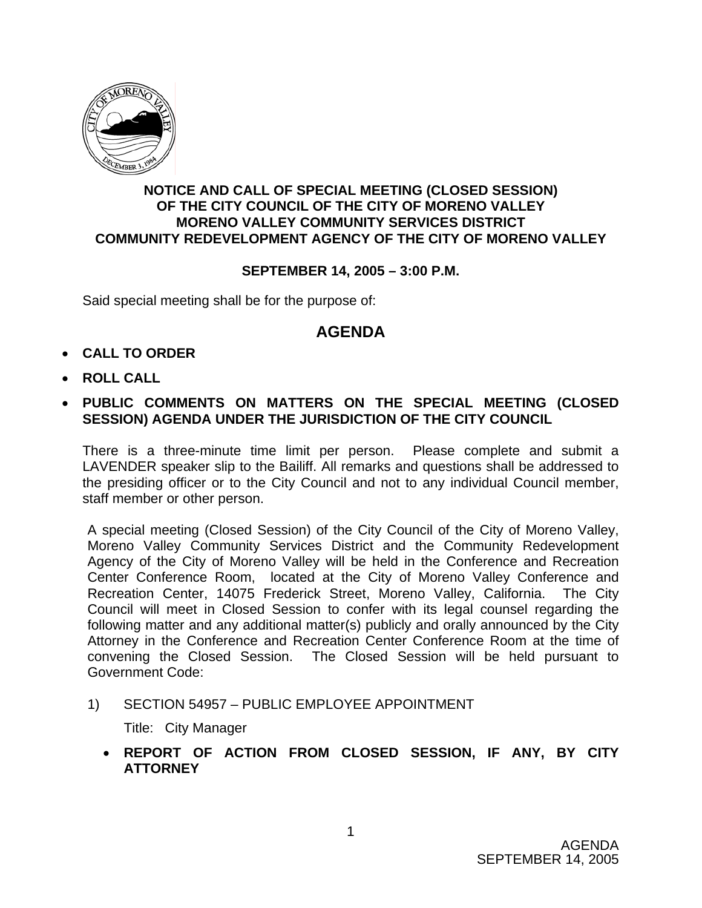

## **NOTICE AND CALL OF SPECIAL MEETING (CLOSED SESSION) OF THE CITY COUNCIL OF THE CITY OF MORENO VALLEY MORENO VALLEY COMMUNITY SERVICES DISTRICT COMMUNITY REDEVELOPMENT AGENCY OF THE CITY OF MORENO VALLEY**

## **SEPTEMBER 14, 2005 – 3:00 P.M.**

Said special meeting shall be for the purpose of:

## **AGENDA**

- **CALL TO ORDER**
- **ROLL CALL**
- **PUBLIC COMMENTS ON MATTERS ON THE SPECIAL MEETING (CLOSED SESSION) AGENDA UNDER THE JURISDICTION OF THE CITY COUNCIL**

There is a three-minute time limit per person. Please complete and submit a LAVENDER speaker slip to the Bailiff. All remarks and questions shall be addressed to the presiding officer or to the City Council and not to any individual Council member, staff member or other person.

A special meeting (Closed Session) of the City Council of the City of Moreno Valley, Moreno Valley Community Services District and the Community Redevelopment Agency of the City of Moreno Valley will be held in the Conference and Recreation Center Conference Room, located at the City of Moreno Valley Conference and Recreation Center, 14075 Frederick Street, Moreno Valley, California. The City Council will meet in Closed Session to confer with its legal counsel regarding the following matter and any additional matter(s) publicly and orally announced by the City Attorney in the Conference and Recreation Center Conference Room at the time of convening the Closed Session. The Closed Session will be held pursuant to Government Code:

1) SECTION 54957 – PUBLIC EMPLOYEE APPOINTMENT

Title: City Manager

• **REPORT OF ACTION FROM CLOSED SESSION, IF ANY, BY CITY ATTORNEY**